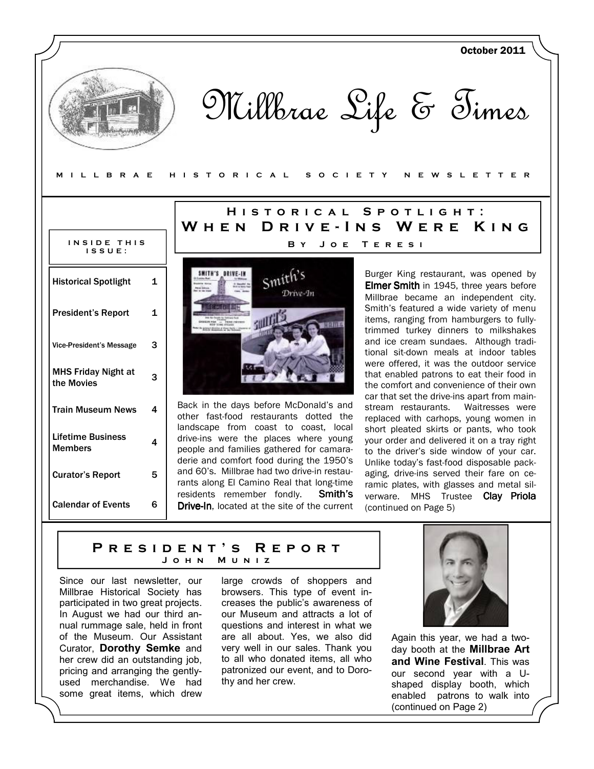Millbrae Life & Times

M I L L B R A E H I S T O R I C A L S O C I E T Y N E W S L E T T E R

| INSIDE THIS<br>$1.5.5 \, \mathrm{U} \, \mathrm{E}$ : |    |
|------------------------------------------------------|----|
| <b>Historical Spotlight</b>                          | 1  |
| <b>President's Report</b>                            | 1  |
| <b>Vice-President's Message</b>                      | 3  |
| MHS Friday Night at<br>the Movies                    | 3  |
| <b>Train Museum News</b>                             | 4  |
| Lifetime Business<br>Members                         | 4  |
| <b>Curator's Report</b>                              | 5  |
| <b>Calendar of Events</b>                            | ุค |

## HISTORICAL SPOTLIGHT: W H E N D R I V E - I N S W E R E K I N G BY JOE TERESI



Back in the days before McDonald's and other fast-food restaurants dotted the landscape from coast to coast, local drive-ins were the places where young people and families gathered for camaraderie and comfort food during the 1950's and 60's. Millbrae had two drive-in restaurants along El Camino Real that long-time residents remember fondly. Smith's **Drive-In, located at the site of the current**  Burger King restaurant, was opened by **Elmer Smith** in 1945, three years before Millbrae became an independent city. Smith's featured a wide variety of menu items, ranging from hamburgers to fullytrimmed turkey dinners to milkshakes and ice cream sundaes. Although traditional sit-down meals at indoor tables were offered, it was the outdoor service that enabled patrons to eat their food in the comfort and convenience of their own car that set the drive-ins apart from mainstream restaurants. Waitresses were replaced with carhops, young women in short pleated skirts or pants, who took your order and delivered it on a tray right to the driver's side window of your car. Unlike today's fast-food disposable packaging, drive-ins served their fare on ceramic plates, with glasses and metal silverware. MHS Trustee Clay Priola (continued on Page 5)

October 2011

## PRESIDENT'S REPORT J o h n M u n i z

Since our last newsletter, our Millbrae Historical Society has participated in two great projects. In August we had our third annual rummage sale, held in front of the Museum. Our Assistant Curator, Dorothy Semke and her crew did an outstanding job, pricing and arranging the gentlyused merchandise. We had some great items, which drew large crowds of shoppers and browsers. This type of event increases the public's awareness of our Museum and attracts a lot of questions and interest in what we are all about. Yes, we also did very well in our sales. Thank you to all who donated items, all who patronized our event, and to Dorothy and her crew.



Again this year, we had a twoday booth at the Millbrae Art and Wine Festival. This was our second year with a Ushaped display booth, which enabled patrons to walk into (continued on Page 2)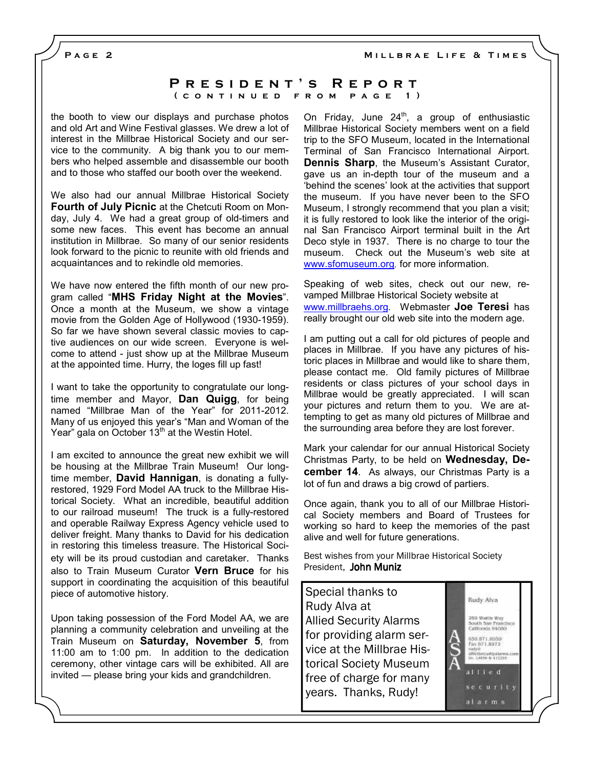MILLBRAE LIFE & TIMES

PAGE<sub>2</sub>

### P R E S I D E N T 'S R E P O R T ( CONTINUED FROM PAGE 1)

the booth to view our displays and purchase photos and old Art and Wine Festival glasses. We drew a lot of interest in the Millbrae Historical Society and our service to the community. A big thank you to our members who helped assemble and disassemble our booth and to those who staffed our booth over the weekend.

We also had our annual Millbrae Historical Society Fourth of July Picnic at the Chetcuti Room on Monday, July 4. We had a great group of old-timers and some new faces. This event has become an annual institution in Millbrae. So many of our senior residents look forward to the picnic to reunite with old friends and acquaintances and to rekindle old memories.

We have now entered the fifth month of our new program called "MHS Friday Night at the Movies". Once a month at the Museum, we show a vintage movie from the Golden Age of Hollywood (1930-1959). So far we have shown several classic movies to captive audiences on our wide screen. Everyone is welcome to attend - just show up at the Millbrae Museum at the appointed time. Hurry, the loges fill up fast!

I want to take the opportunity to congratulate our longtime member and Mayor, Dan Quigg, for being named "Millbrae Man of the Year" for 2011-2012. Many of us enjoyed this year's "Man and Woman of the Year" gala on October 13<sup>th</sup> at the Westin Hotel.

I am excited to announce the great new exhibit we will be housing at the Millbrae Train Museum! Our longtime member, **David Hannigan**, is donating a fullyrestored, 1929 Ford Model AA truck to the Millbrae Historical Society. What an incredible, beautiful addition to our railroad museum! The truck is a fully-restored and operable Railway Express Agency vehicle used to deliver freight. Many thanks to David for his dedication in restoring this timeless treasure. The Historical Society will be its proud custodian and caretaker. Thanks also to Train Museum Curator Vern Bruce for his support in coordinating the acquisition of this beautiful piece of automotive history.

Upon taking possession of the Ford Model AA, we are planning a community celebration and unveiling at the Train Museum on Saturday, November 5, from 11:00 am to 1:00 pm. In addition to the dedication ceremony, other vintage cars will be exhibited. All are invited — please bring your kids and grandchildren.

On Friday, June  $24<sup>th</sup>$ , a group of enthusiastic Millbrae Historical Society members went on a field trip to the SFO Museum, located in the International Terminal of San Francisco International Airport. Dennis Sharp, the Museum's Assistant Curator, gave us an in-depth tour of the museum and a 'behind the scenes' look at the activities that support the museum. If you have never been to the SFO Museum, I strongly recommend that you plan a visit; it is fully restored to look like the interior of the original San Francisco Airport terminal built in the Art Deco style in 1937. There is no charge to tour the museum. Check out the Museum's web site at www.sfomuseum.org, for more information.

Speaking of web sites, check out our new, revamped Millbrae Historical Society website at www.millbraehs.org. Webmaster Joe Teresi has really brought our old web site into the modern age.

I am putting out a call for old pictures of people and places in Millbrae. If you have any pictures of historic places in Millbrae and would like to share them, please contact me. Old family pictures of Millbrae residents or class pictures of your school days in Millbrae would be greatly appreciated. I will scan your pictures and return them to you. We are attempting to get as many old pictures of Millbrae and the surrounding area before they are lost forever.

Mark your calendar for our annual Historical Society Christmas Party, to be held on Wednesday, December 14. As always, our Christmas Party is a lot of fun and draws a big crowd of partiers.

Once again, thank you to all of our Millbrae Historical Society members and Board of Trustees for working so hard to keep the memories of the past alive and well for future generations.

Best wishes from your Millbrae Historical Society President, John Muniz

Special thanks to Rudy Alva at Allied Security Alarms for providing alarm service at the Millbrae Historical Society Museum free of charge for many years. Thanks, Rudy!

Rudy Alva Wattls Way South San Francisco<br>California 94080 650.871.8959 Fax 871,8975 tiSecuriipalarm<br>Laasa a⁄a 1229≉ allied se curity alarms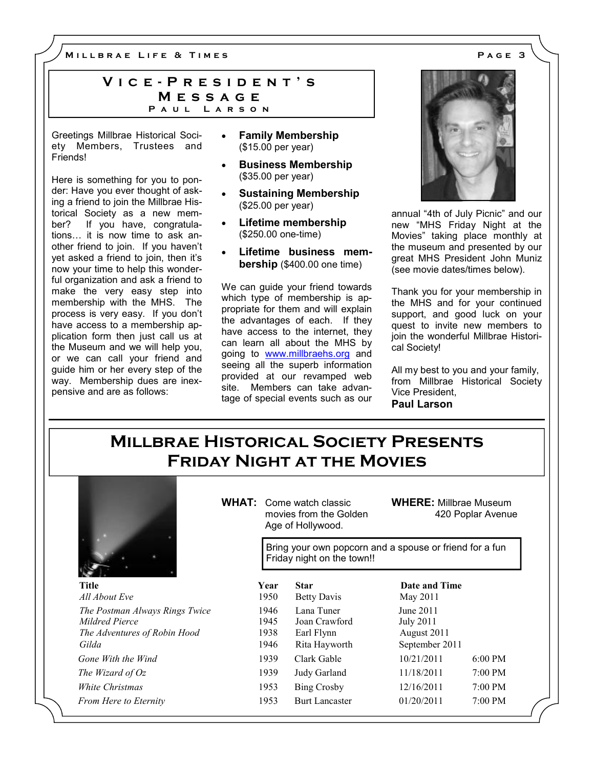M I L L B R A E L I F E & T I M E S A G E 3

### VICE - PRESIDENT'S **MESSAGE** PAUL LARSON

Greetings Millbrae Historical Society Members, Trustees and Friends!

Here is something for you to ponder: Have you ever thought of asking a friend to join the Millbrae Historical Society as a new member? If you have, congratulations... it is now time to ask another friend to join. If you haven't yet asked a friend to join, then it's now your time to help this wonderful organization and ask a friend to make the very easy step into membership with the MHS. The process is very easy. If you don't have access to a membership application form then just call us at the Museum and we will help you, or we can call your friend and guide him or her every step of the way. Membership dues are inexpensive and are as follows:

- Family Membership (\$15.00 per year)
- Business Membership (\$35.00 per year)
- Sustaining Membership (\$25.00 per year)
- Lifetime membership (\$250.00 one-time)
- Lifetime business membership (\$400.00 one time)

We can guide your friend towards which type of membership is appropriate for them and will explain the advantages of each. If they have access to the internet, they can learn all about the MHS by going to www.millbraehs.org and seeing all the superb information provided at our revamped web site. Members can take advantage of special events such as our



annual "4th of July Picnic" and our new "MHS Friday Night at the Movies" taking place monthly at the museum and presented by our great MHS President John Muniz (see movie dates/times below).

Thank you for your membership in the MHS and for your continued support, and good luck on your quest to invite new members to join the wonderful Millbrae Historical Society!

All my best to you and your family, from Millbrae Historical Society Vice President, Paul Larson

# Millbrae Historical Society Presents Friday Night at the Movies



WHAT: Come watch classic movies from the Golden Age of Hollywood.

WHERE: Millbrae Museum 420 Poplar Avenue

Bring your own popcorn and a spouse or friend for a fun Friday night on the town!!

| Title                          | Year | <b>Star</b>           | Date and Time  |           |
|--------------------------------|------|-----------------------|----------------|-----------|
| All About Eve                  | 1950 | Betty Davis           | May 2011       |           |
| The Postman Always Rings Twice | 1946 | Lana Tuner            | June 2011      |           |
| Mildred Pierce                 | 1945 | Joan Crawford         | July 2011      |           |
| The Adventures of Robin Hood   | 1938 | Earl Flynn            | August 2011    |           |
| Gilda                          | 1946 | Rita Hayworth         | September 2011 |           |
| Gone With the Wind             | 1939 | Clark Gable           | 10/21/2011     | $6:00$ PM |
| The Wizard of Oz               | 1939 | Judy Garland          | 11/18/2011     | $7:00$ PM |
| White Christmas                | 1953 | Bing Crosby           | 12/16/2011     | $7:00$ PM |
| <b>From Here to Eternity</b>   | 1953 | <b>Burt Lancaster</b> | 01/20/2011     | $7:00$ PM |
|                                |      |                       |                |           |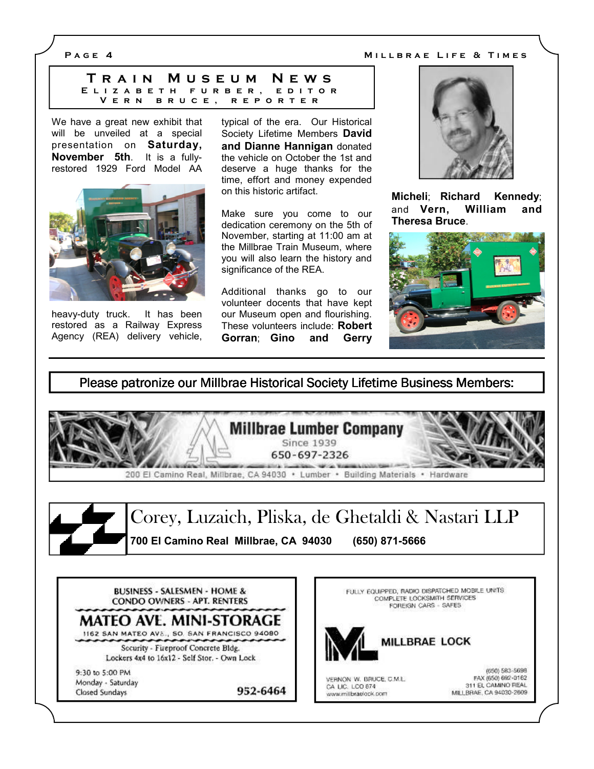P A G E 4 M I L BRAE LIFE & TIMES

T r a i n M u s e u m N e w s E L I Z A B E T H F U R B E R , E D I T O R V E R N B R U C E , R E P O R T E R

We have a great new exhibit that will be unveiled at a special presentation on Saturday, November 5th. It is a fullyrestored 1929 Ford Model AA



heavy-duty truck. It has been restored as a Railway Express Agency (REA) delivery vehicle, typical of the era. Our Historical Society Lifetime Members David and Dianne Hannigan donated the vehicle on October the 1st and deserve a huge thanks for the time, effort and money expended on this historic artifact.

Make sure you come to our dedication ceremony on the 5th of November, starting at 11:00 am at the Millbrae Train Museum, where you will also learn the history and significance of the REA.

Additional thanks go to our volunteer docents that have kept our Museum open and flourishing. These volunteers include: Robert Gorran; Gino and Gerry



Micheli; Richard Kennedy; and Vern, William and Theresa Bruce.



### Please patronize our Millbrae Historical Society Lifetime Business Members:

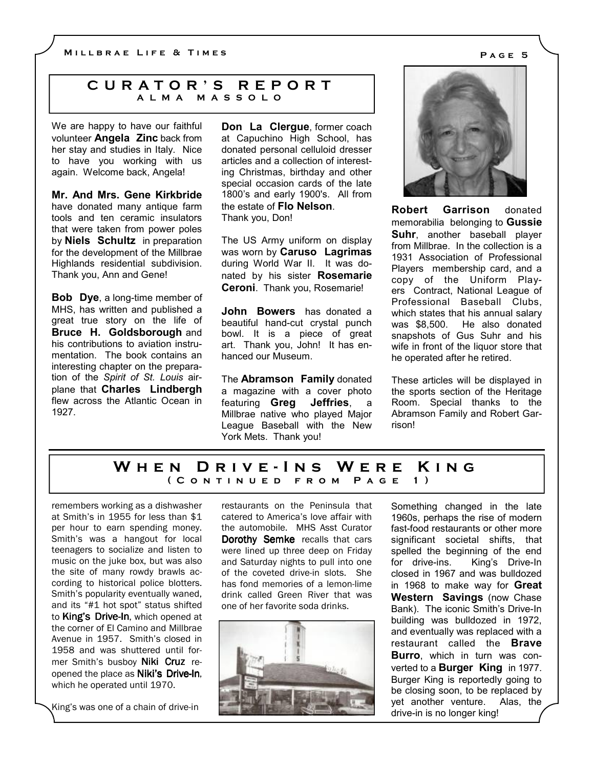### C U R A T O R ' S R E P O R T A L M A M A S S O L O

We are happy to have our faithful volunteer **Angela Zinc** back from her stay and studies in Italy. Nice to have you working with us again. Welcome back, Angela!

Mr. And Mrs. Gene Kirkbride have donated many antique farm tools and ten ceramic insulators that were taken from power poles by **Niels** Schultz in preparation for the development of the Millbrae Highlands residential subdivision. Thank you, Ann and Gene!

Bob Dye, a long-time member of MHS, has written and published a great true story on the life of Bruce H. Goldsborough and his contributions to aviation instrumentation. The book contains an interesting chapter on the preparation of the Spirit of St. Louis airplane that Charles Lindbergh flew across the Atlantic Ocean in 1927.

Don La Clergue, former coach at Capuchino High School, has donated personal celluloid dresser articles and a collection of interesting Christmas, birthday and other special occasion cards of the late 1800's and early 1900's. All from the estate of Flo Nelson. Thank you, Don!

The US Army uniform on display was worn by **Caruso Lagrimas** during World War II. It was donated by his sister Rosemarie Ceroni. Thank you, Rosemarie!

John Bowers has donated a beautiful hand-cut crystal punch bowl. It is a piece of great art. Thank you, John! It has enhanced our Museum.

The **Abramson** Family donated a magazine with a cover photo featuring Greg Jeffries, a Millbrae native who played Major League Baseball with the New York Mets. Thank you!



Robert Garrison donated memorabilia belonging to **Gussie** Suhr, another baseball player from Millbrae. In the collection is a 1931 Association of Professional Players membership card, and a copy of the Uniform Players Contract, National League of Professional Baseball Clubs, which states that his annual salary was \$8,500. He also donated snapshots of Gus Suhr and his wife in front of the liquor store that he operated after he retired.

These articles will be displayed in the sports section of the Heritage Room. Special thanks to the Abramson Family and Robert Garrison!

## W H E N D R I V E - I N S W E R E K I N G ( CONTINUED FROM PAGE 1)

remembers working as a dishwasher at Smith's in 1955 for less than \$1 per hour to earn spending money. Smith's was a hangout for local teenagers to socialize and listen to music on the juke box, but was also the site of many rowdy brawls according to historical police blotters. Smith's popularity eventually waned, and its "#1 hot spot" status shifted to King's Drive-In, which opened at the corner of El Camino and Millbrae Avenue in 1957. Smith's closed in 1958 and was shuttered until former Smith's busboy Niki Cruz reopened the place as Niki's Drive-In, which he operated until 1970.

King's was one of a chain of drive-in

restaurants on the Peninsula that catered to America's love affair with the automobile. MHS Asst Curator Dorothy Semke recalls that cars were lined up three deep on Friday and Saturday nights to pull into one of the coveted drive-in slots. She has fond memories of a lemon-lime drink called Green River that was one of her favorite soda drinks.



Something changed in the late 1960s, perhaps the rise of modern fast-food restaurants or other more significant societal shifts, that spelled the beginning of the end for drive-ins. King's Drive-In closed in 1967 and was bulldozed in 1968 to make way for **Great** Western Savings (now Chase Bank). The iconic Smith's Drive-In building was bulldozed in 1972, and eventually was replaced with a restaurant called the **Brave** Burro, which in turn was converted to a **Burger King** in 1977. Burger King is reportedly going to be closing soon, to be replaced by yet another venture. Alas, the drive-in is no longer king!